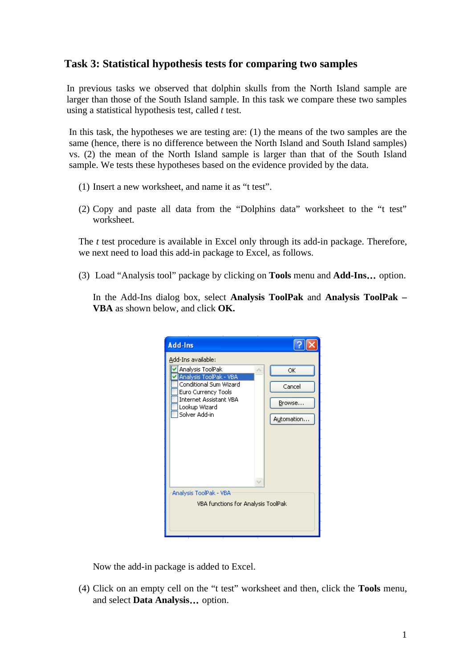## **Task 3: Statistical hypothesis tests for comparing two samples**

In previous tasks we observed that dolphin skulls from the North Island sample are larger than those of the South Island sample. In this task we compare these two samples using a statistical hypothesis test, called *t* test.

In this task, the hypotheses we are testing are: (1) the means of the two samples are the same (hence, there is no difference between the North Island and South Island samples) vs. (2) the mean of the North Island sample is larger than that of the South Island sample. We tests these hypotheses based on the evidence provided by the data.

- (1) Insert a new worksheet, and name it as "t test".
- (2) Copy and paste all data from the "Dolphins data" worksheet to the "t test" worksheet.

The *t* test procedure is available in Excel only through its add-in package. Therefore, we next need to load this add-in package to Excel, as follows.

(3) Load "Analysis tool" package by clicking on **Tools** menu and **Add-Ins**… option.

In the Add-Ins dialog box, select **Analysis ToolPak** and **Analysis ToolPak – VBA** as shown below, and click **OK.**



Now the add-in package is added to Excel.

(4) Click on an empty cell on the "t test" worksheet and then, click the **Tools** menu, and select **Data Analysis**… option.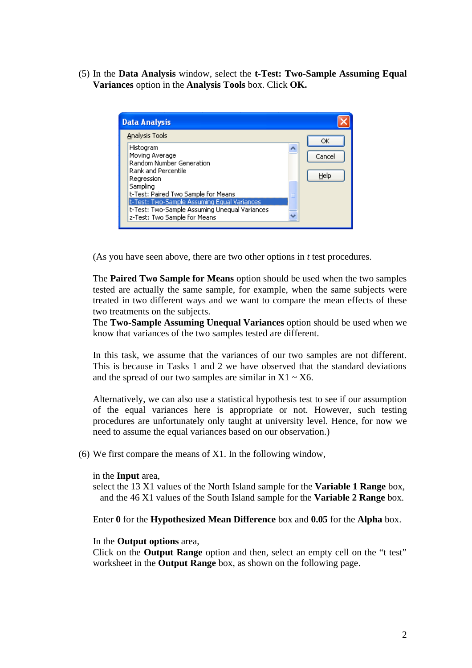(5) In the **Data Analysis** window, select the **t-Test: Two-Sample Assuming Equal Variances** option in the **Analysis Tools** box. Click **OK.**



(As you have seen above, there are two other options in *t* test procedures.

The **Paired Two Sample for Means** option should be used when the two samples tested are actually the same sample, for example, when the same subjects were treated in two different ways and we want to compare the mean effects of these two treatments on the subjects.

The **Two-Sample Assuming Unequal Variances** option should be used when we know that variances of the two samples tested are different.

In this task, we assume that the variances of our two samples are not different. This is because in Tasks 1 and 2 we have observed that the standard deviations and the spread of our two samples are similar in  $X1 \sim X6$ .

Alternatively, we can also use a statistical hypothesis test to see if our assumption of the equal variances here is appropriate or not. However, such testing procedures are unfortunately only taught at university level. Hence, for now we need to assume the equal variances based on our observation.)

(6) We first compare the means of X1. In the following window,

## in the **Input** area,

 select the 13 X1 values of the North Island sample for the **Variable 1 Range** box, and the 46 X1 values of the South Island sample for the **Variable 2 Range** box.

Enter **0** for the **Hypothesized Mean Difference** box and **0.05** for the **Alpha** box.

## In the **Output options** area,

Click on the **Output Range** option and then, select an empty cell on the "t test" worksheet in the **Output Range** box, as shown on the following page.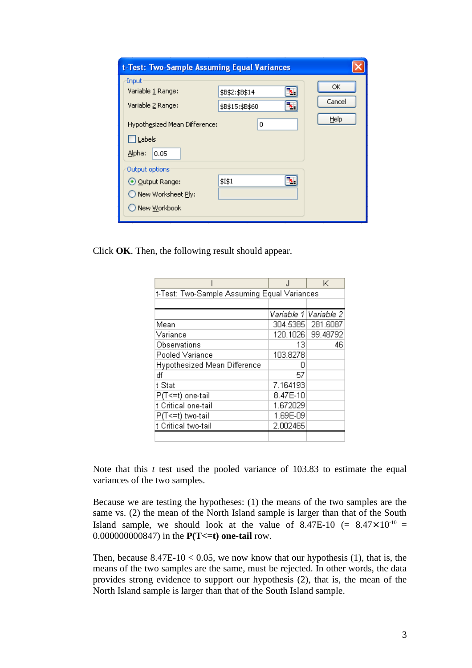| t-Test: Two-Sample Assuming Equal Variances                                                                  |                                                    |                      |
|--------------------------------------------------------------------------------------------------------------|----------------------------------------------------|----------------------|
| Input<br>Variable 1 Range:<br>Variable 2 Range:<br>Hypothesized Mean Difference:<br>Labels<br>Alpha:<br>0.05 | ٧.<br>\$B\$2:\$B\$14<br>ъ.<br>\$B\$15:\$B\$60<br>0 | ОК<br>Cancel<br>Help |
| Output options<br>⊙ Output Range:<br>New Worksheet Ply:<br>New Workbook                                      | \$I\$1<br>۸.                                       |                      |

Click **OK**. Then, the following result should appear.

|                                             |          | K                       |  |
|---------------------------------------------|----------|-------------------------|--|
| t-Test: Two-Sample Assuming Equal Variances |          |                         |  |
|                                             |          |                         |  |
|                                             |          | Variable 1   Variable 2 |  |
| Mean                                        |          | 304.5385 281.6087       |  |
| Variance                                    |          | 120.1026 99.48792       |  |
| Observations                                | 13       | 46                      |  |
| Pooled Variance                             | 103.8278 |                         |  |
| Hypothesized Mean Difference                | П        |                         |  |
| df                                          | 57       |                         |  |
| t Stat                                      | 7.164193 |                         |  |
| P(T<=t) one-tail                            | 8.47E-10 |                         |  |
| t Critical one-tail                         | 1.672029 |                         |  |
| P(T<=t) two-tail                            | 1.69E-09 |                         |  |
| t Critical two-tail                         | 2.002465 |                         |  |
|                                             |          |                         |  |

Note that this *t* test used the pooled variance of 103.83 to estimate the equal variances of the two samples.

Because we are testing the hypotheses: (1) the means of the two samples are the same vs. (2) the mean of the North Island sample is larger than that of the South Island sample, we should look at the value of 8.47E-10 (=  $8.47 \times 10^{-10}$  = 0.000000000847) in the **P(T<=t) one-tail** row.

Then, because  $8.47E-10 \le 0.05$ , we now know that our hypothesis (1), that is, the means of the two samples are the same, must be rejected. In other words, the data provides strong evidence to support our hypothesis (2), that is, the mean of the North Island sample is larger than that of the South Island sample.